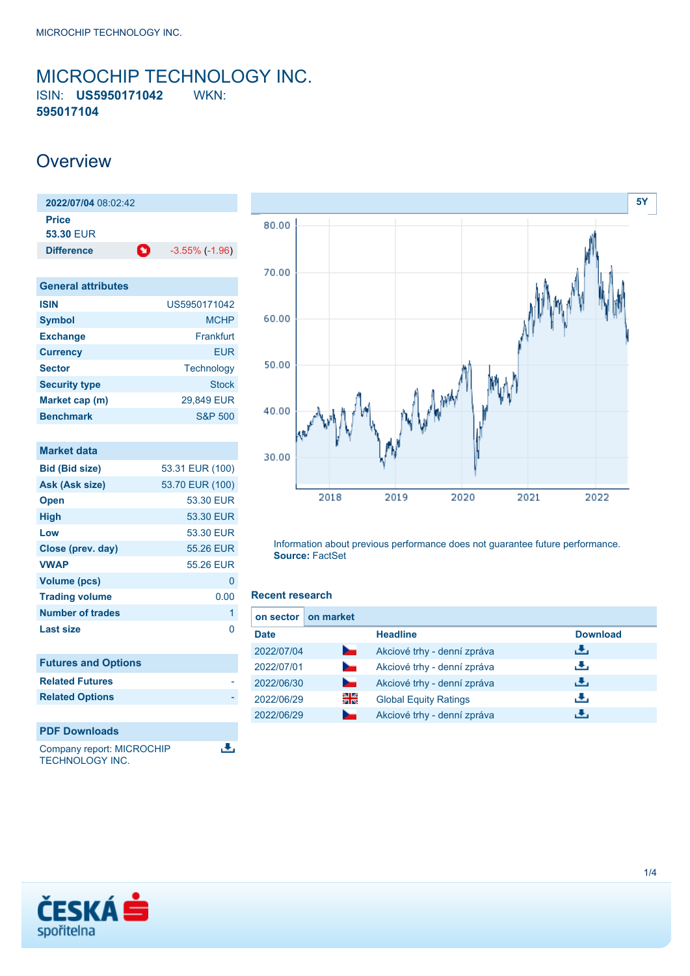## <span id="page-0-0"></span>MICROCHIP TECHNOLOGY INC. ISIN: **US5950171042** WKN: **595017104**

# **Overview**

| 2022/07/04 08:02:42              |   |                       |  |  |
|----------------------------------|---|-----------------------|--|--|
| <b>Price</b><br><b>53.30 EUR</b> |   |                       |  |  |
| <b>Difference</b>                | O | $-3.55\%$ ( $-1.96$ ) |  |  |

| <b>General attributes</b> |                    |
|---------------------------|--------------------|
| <b>ISIN</b>               | US5950171042       |
| <b>Symbol</b>             | <b>MCHP</b>        |
| <b>Exchange</b>           | Frankfurt          |
| <b>Currency</b>           | FUR                |
| <b>Sector</b>             | Technology         |
| <b>Security type</b>      | <b>Stock</b>       |
| Market cap (m)            | 29,849 EUR         |
| <b>Benchmark</b>          | <b>S&amp;P 500</b> |

| <b>Market data</b>         |                 |
|----------------------------|-----------------|
| <b>Bid (Bid size)</b>      | 53.31 EUR (100) |
| Ask (Ask size)             | 53.70 EUR (100) |
| <b>Open</b>                | 53.30 EUR       |
| <b>High</b>                | 53.30 EUR       |
| Low                        | 53.30 EUR       |
| Close (prev. day)          | 55.26 EUR       |
| <b>VWAP</b>                | 55.26 EUR       |
| <b>Volume (pcs)</b>        | 0               |
| <b>Trading volume</b>      | 0.00            |
| <b>Number of trades</b>    | 1               |
| <b>Last size</b>           | O               |
|                            |                 |
| <b>Futures and Options</b> |                 |
| <b>Related Futures</b>     |                 |
| <b>Related Options</b>     |                 |
|                            |                 |
| <b>PDF Downloads</b>       |                 |
| Company report: MICROCHIP  |                 |

TECHNOLOGY INC.



Information about previous performance does not guarantee future performance. **Source:** FactSet

#### **Recent research**

| on sector   | on market      |                              |                 |
|-------------|----------------|------------------------------|-----------------|
| <b>Date</b> |                | <b>Headline</b>              | <b>Download</b> |
| 2022/07/04  | <b>Service</b> | Akciové trhy - denní zpráva  | رائي            |
| 2022/07/01  |                | Akciové trhy - denní zpráva  | رنان            |
| 2022/06/30  | $\sim$         | Akciové trhy - denní zpráva  | رنان            |
| 2022/06/29  | 읡              | <b>Global Equity Ratings</b> | æ,              |
| 2022/06/29  |                | Akciové trhy - denní zpráva  |                 |

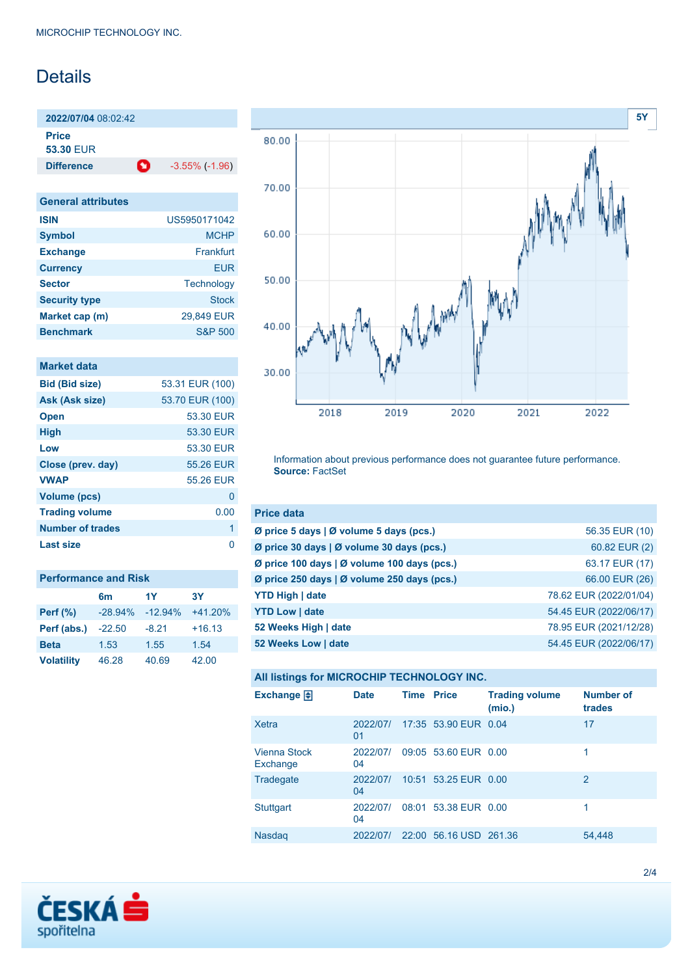# **Details**

**2022/07/04** 08:02:42 **Price 53.30** EUR

**Difference 1.96** -3.55% (-1.96)

| <b>General attributes</b> |                    |
|---------------------------|--------------------|
| <b>ISIN</b>               | US5950171042       |
| <b>Symbol</b>             | <b>MCHP</b>        |
| <b>Exchange</b>           | Frankfurt          |
| <b>Currency</b>           | <b>EUR</b>         |
| <b>Sector</b>             | Technology         |
| <b>Security type</b>      | <b>Stock</b>       |
| Market cap (m)            | 29.849 EUR         |
| <b>Benchmark</b>          | <b>S&amp;P 500</b> |

|  | <b>Market data</b> |  |
|--|--------------------|--|
|  |                    |  |
|  |                    |  |

| 53.31 EUR (100) |
|-----------------|
| 53.70 EUR (100) |
| 53.30 EUR       |
| 53.30 EUR       |
| 53.30 EUR       |
| 55.26 EUR       |
| 55.26 EUR       |
| 0               |
| 0.00            |
| 1               |
| n               |
|                 |

| <b>Performance and Risk</b>       |            |           |           |  |  |  |  |
|-----------------------------------|------------|-----------|-----------|--|--|--|--|
| 1Y<br><b>3Y</b><br>6 <sub>m</sub> |            |           |           |  |  |  |  |
| <b>Perf</b> (%)                   | $-28.94\%$ | $-12.94%$ | $+41.20%$ |  |  |  |  |
| Perf (abs.)                       | $-22.50$   | $-8.21$   | $+16.13$  |  |  |  |  |
| <b>Beta</b>                       | 1.53       | 1.55      | 1.54      |  |  |  |  |
| <b>Volatility</b>                 | 46.28      | 40.69     | 42.00     |  |  |  |  |



Information about previous performance does not guarantee future performance. **Source:** FactSet

| <b>Price data</b>                                     |                        |
|-------------------------------------------------------|------------------------|
| Ø price 5 days $\vert \emptyset$ volume 5 days (pcs.) | 56.35 EUR (10)         |
| Ø price 30 days   Ø volume 30 days (pcs.)             | 60.82 EUR (2)          |
| Ø price 100 days   Ø volume 100 days (pcs.)           | 63.17 EUR (17)         |
| Ø price 250 days $\vert$ Ø volume 250 days (pcs.)     | 66.00 EUR (26)         |
| <b>YTD High   date</b>                                | 78.62 EUR (2022/01/04) |
| <b>YTD Low   date</b>                                 | 54.45 EUR (2022/06/17) |
| 52 Weeks High   date                                  | 78.95 EUR (2021/12/28) |
| 52 Weeks Low   date                                   | 54.45 EUR (2022/06/17) |

| All listings for MICROCHIP TECHNOLOGY INC. |  |
|--------------------------------------------|--|
|--------------------------------------------|--|

| Exchange $\Box$                 | <b>Date</b>    | <b>Time Price</b> |                        | <b>Trading volume</b><br>(mio.) | <b>Number of</b><br>trades |
|---------------------------------|----------------|-------------------|------------------------|---------------------------------|----------------------------|
| <b>Xetra</b>                    | 2022/07/<br>01 |                   | 17:35 53.90 EUR 0.04   |                                 | 17                         |
| <b>Vienna Stock</b><br>Exchange | 2022/07/<br>04 |                   | 09:05 53.60 EUR 0.00   |                                 | 1                          |
| Tradegate                       | 2022/07/<br>04 |                   | 10:51 53.25 EUR 0.00   |                                 | $\overline{2}$             |
| <b>Stuttgart</b>                | 2022/07/<br>04 |                   | 08:01 53.38 EUR 0.00   |                                 | 1                          |
| Nasdaq                          | 2022/07/       |                   | 22:00 56.16 USD 261.36 |                                 | 54,448                     |

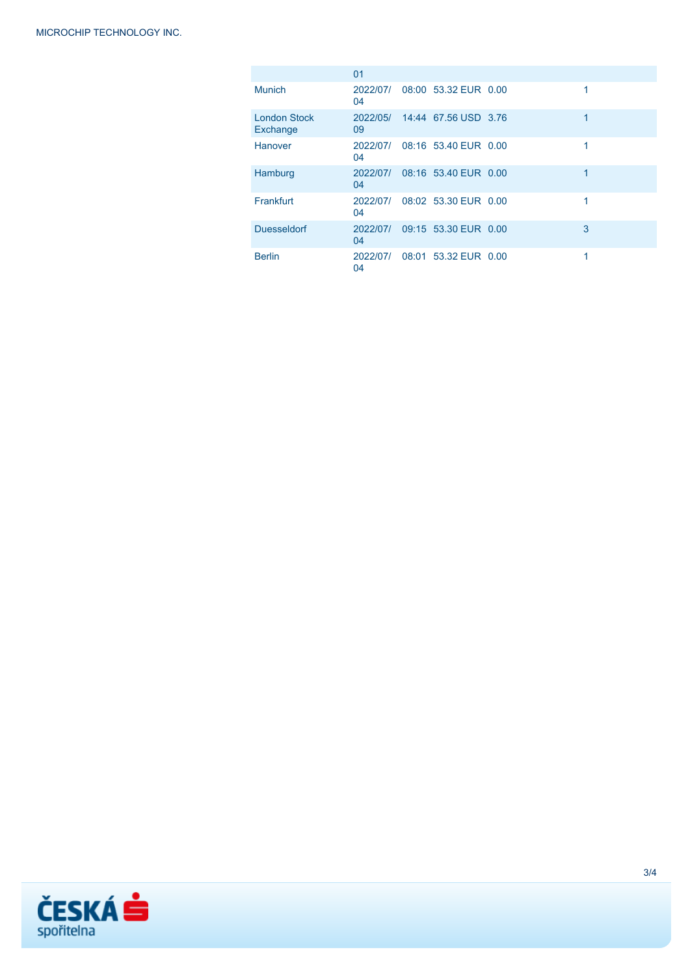|                                 | 01             |                      |   |
|---------------------------------|----------------|----------------------|---|
| <b>Munich</b>                   | 2022/07/<br>04 | 08:00 53.32 EUR 0.00 | 1 |
| <b>London Stock</b><br>Exchange | 2022/05/<br>09 | 14:44 67.56 USD 3.76 | 1 |
| Hanover                         | 2022/07/<br>04 | 08:16 53.40 EUR 0.00 | 1 |
| Hamburg                         | 2022/07/<br>04 | 08:16 53.40 EUR 0.00 | 1 |
| Frankfurt                       | 2022/07/<br>04 | 08:02 53.30 EUR 0.00 | 1 |
| <b>Duesseldorf</b>              | 2022/07/<br>04 | 09:15 53.30 EUR 0.00 | 3 |
| <b>Berlin</b>                   | 2022/07/<br>04 | 08:01 53.32 EUR 0.00 | 1 |